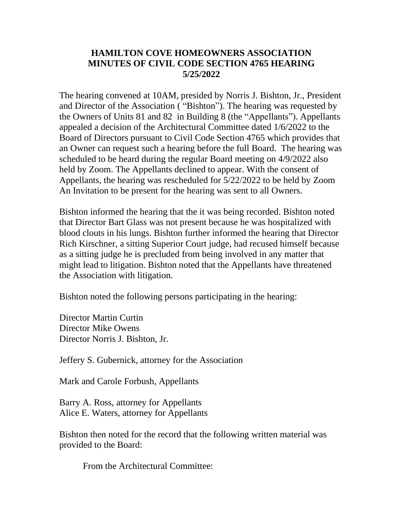## **HAMILTON COVE HOMEOWNERS ASSOCIATION MINUTES OF CIVIL CODE SECTION 4765 HEARING 5/25/2022**

The hearing convened at 10AM, presided by Norris J. Bishton, Jr., President and Director of the Association ( "Bishton"). The hearing was requested by the Owners of Units 81 and 82 in Building 8 (the "Appellants"). Appellants appealed a decision of the Architectural Committee dated 1/6/2022 to the Board of Directors pursuant to Civil Code Section 4765 which provides that an Owner can request such a hearing before the full Board. The hearing was scheduled to be heard during the regular Board meeting on 4/9/2022 also held by Zoom. The Appellants declined to appear. With the consent of Appellants, the hearing was rescheduled for 5/22/2022 to be held by Zoom An Invitation to be present for the hearing was sent to all Owners.

Bishton informed the hearing that the it was being recorded. Bishton noted that Director Bart Glass was not present because he was hospitalized with blood clouts in his lungs. Bishton further informed the hearing that Director Rich Kirschner, a sitting Superior Court judge, had recused himself because as a sitting judge he is precluded from being involved in any matter that might lead to litigation. Bishton noted that the Appellants have threatened the Association with litigation.

Bishton noted the following persons participating in the hearing:

Director Martin Curtin Director Mike Owens Director Norris J. Bishton, Jr.

Jeffery S. Gubernick, attorney for the Association

Mark and Carole Forbush, Appellants

Barry A. Ross, attorney for Appellants Alice E. Waters, attorney for Appellants

Bishton then noted for the record that the following written material was provided to the Board:

From the Architectural Committee: